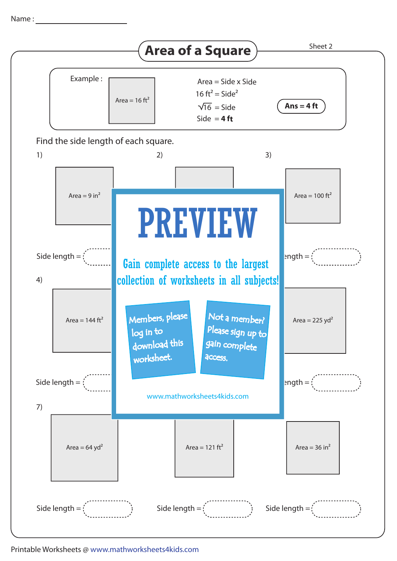